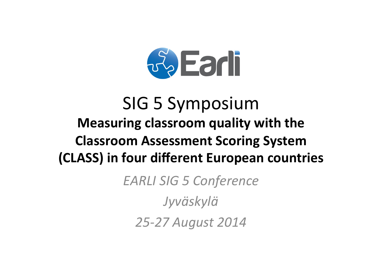

# **SIG 5 Symposium** Measuring classroom quality with the **Classroom Assessment Scoring System** (CLASS) in four different European countries

**EARLI SIG 5 Conference** 

Jyväskylä

25-27 August 2014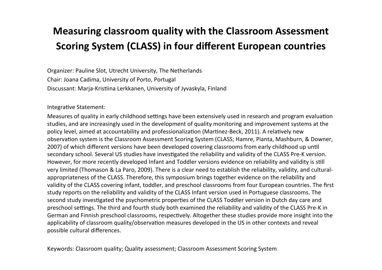## **Measuring classroom quality with the Classroom Assessment Scoring System (CLASS) in four different European countries**

Organizer: Pauline Slot, Utrecht University, The Netherlands Chair: Joana Cadima, University of Porto, Portugal Discussant: Marja-Kristiina Lerkkanen, University of Jyvaskyla, Finland

Integrative Statement:

Measures of quality in early childhood settings have been extensively used in research and program evaluation studies, and are increasingly used in the development of quality monitoring and improvement systems at the policy level, aimed at accountability and professionalization (Martinez-Beck, 2011). A relatively new observation system is the Classroom Assessment Scoring System (CLASS; Hamre, Pianta, Mashburn, & Downer, 2007) of which different versions have been developed covering classrooms from early childhood up until secondary school. Several US studies have investigated the reliability and validity of the CLASS Pre-K version. However, for more recently developed Infant and Toddler versions evidence on reliability and validity is still very limited (Thomason & La Paro, 2009). There is a clear need to establish the reliability, validity, and culturalappropriateness of the CLASS. Therefore, this symposium brings together evidence on the reliability and validity of the CLASS covering infant, toddler, and preschool classrooms from four European countries. The first study reports on the reliability and validity of the CLASS Infant version used in Portuguese classrooms. The second study investigated the psychometric properties of the CLASS Toddler version in Dutch day care and preschool settings. The third and fourth study both examined the reliability and validity of the CLASS Pre-K in German and Finnish preschool classrooms, respectively. Altogether these studies provide more insight into the applicability of classroom quality/observation measures developed in the US in other contexts and reveal possible cultural differences.

Keywords: Classroom quality; Quality assessment; Classroom Assessment Scoring System